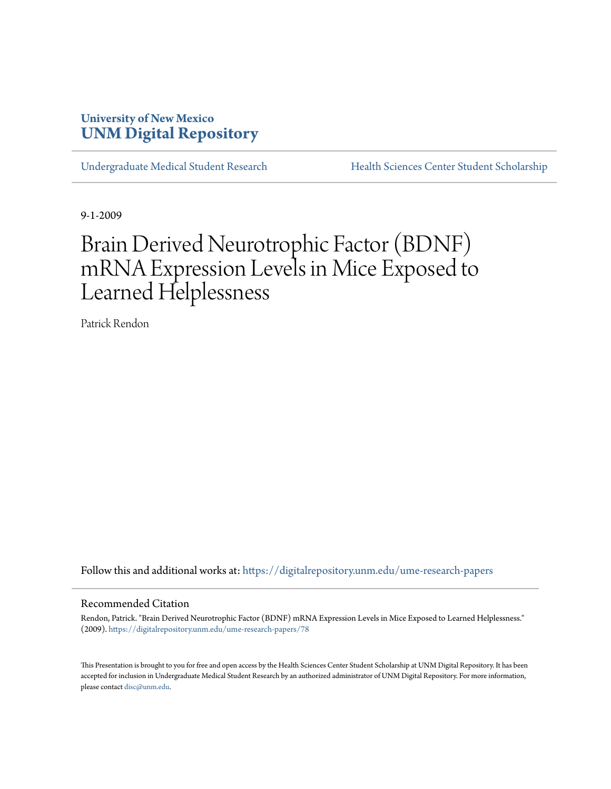# **University of New Mexico [UNM Digital Repository](https://digitalrepository.unm.edu?utm_source=digitalrepository.unm.edu%2Fume-research-papers%2F78&utm_medium=PDF&utm_campaign=PDFCoverPages)**

[Undergraduate Medical Student Research](https://digitalrepository.unm.edu/ume-research-papers?utm_source=digitalrepository.unm.edu%2Fume-research-papers%2F78&utm_medium=PDF&utm_campaign=PDFCoverPages) [Health Sciences Center Student Scholarship](https://digitalrepository.unm.edu/hsc-students?utm_source=digitalrepository.unm.edu%2Fume-research-papers%2F78&utm_medium=PDF&utm_campaign=PDFCoverPages)

9-1-2009

# Brain Derived Neurotrophic Factor (BDNF) mRNA Expression Levels in Mice Exposed to Learned Helplessness

Patrick Rendon

Follow this and additional works at: [https://digitalrepository.unm.edu/ume-research-papers](https://digitalrepository.unm.edu/ume-research-papers?utm_source=digitalrepository.unm.edu%2Fume-research-papers%2F78&utm_medium=PDF&utm_campaign=PDFCoverPages)

#### Recommended Citation

Rendon, Patrick. "Brain Derived Neurotrophic Factor (BDNF) mRNA Expression Levels in Mice Exposed to Learned Helplessness." (2009). [https://digitalrepository.unm.edu/ume-research-papers/78](https://digitalrepository.unm.edu/ume-research-papers/78?utm_source=digitalrepository.unm.edu%2Fume-research-papers%2F78&utm_medium=PDF&utm_campaign=PDFCoverPages)

This Presentation is brought to you for free and open access by the Health Sciences Center Student Scholarship at UNM Digital Repository. It has been accepted for inclusion in Undergraduate Medical Student Research by an authorized administrator of UNM Digital Repository. For more information, please contact [disc@unm.edu.](mailto:disc@unm.edu)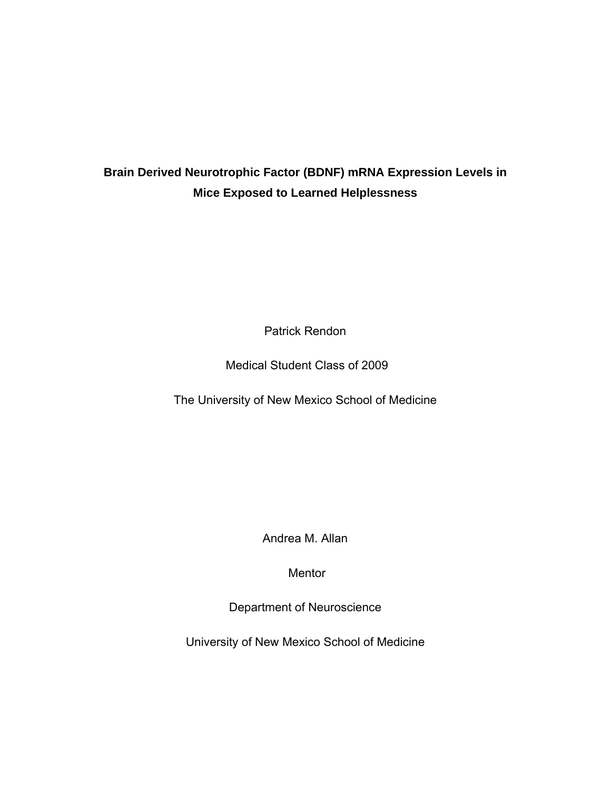# **Brain Derived Neurotrophic Factor (BDNF) mRNA Expression Levels in Mice Exposed to Learned Helplessness**

Patrick Rendon

Medical Student Class of 2009

The University of New Mexico School of Medicine

Andrea M. Allan

Mentor

Department of Neuroscience

University of New Mexico School of Medicine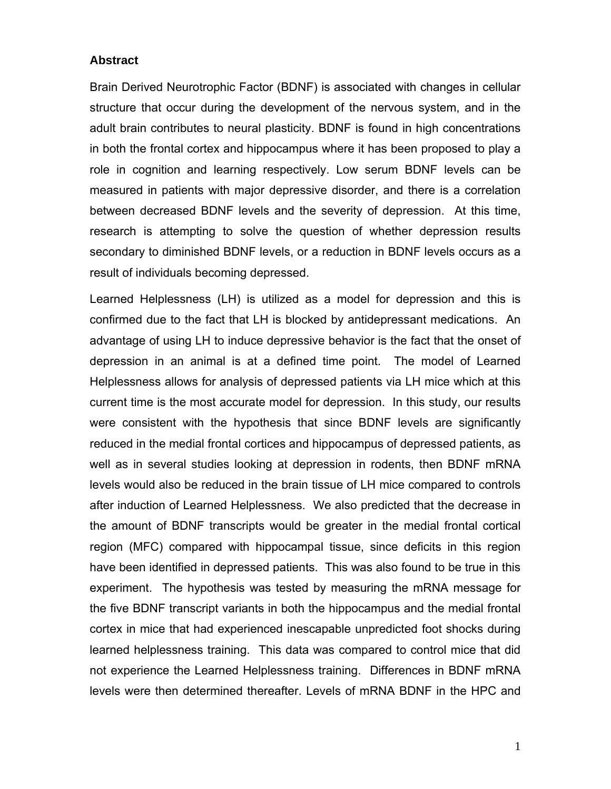## **Abstract**

Brain Derived Neurotrophic Factor (BDNF) is associated with changes in cellular structure that occur during the development of the nervous system, and in the adult brain contributes to neural plasticity. BDNF is found in high concentrations in both the frontal cortex and hippocampus where it has been proposed to play a role in cognition and learning respectively. Low serum BDNF levels can be measured in patients with major depressive disorder, and there is a correlation between decreased BDNF levels and the severity of depression. At this time, research is attempting to solve the question of whether depression results secondary to diminished BDNF levels, or a reduction in BDNF levels occurs as a result of individuals becoming depressed.

Learned Helplessness (LH) is utilized as a model for depression and this is confirmed due to the fact that LH is blocked by antidepressant medications. An advantage of using LH to induce depressive behavior is the fact that the onset of depression in an animal is at a defined time point. The model of Learned Helplessness allows for analysis of depressed patients via LH mice which at this current time is the most accurate model for depression. In this study, our results were consistent with the hypothesis that since BDNF levels are significantly reduced in the medial frontal cortices and hippocampus of depressed patients, as well as in several studies looking at depression in rodents, then BDNF mRNA levels would also be reduced in the brain tissue of LH mice compared to controls after induction of Learned Helplessness. We also predicted that the decrease in the amount of BDNF transcripts would be greater in the medial frontal cortical region (MFC) compared with hippocampal tissue, since deficits in this region have been identified in depressed patients. This was also found to be true in this experiment. The hypothesis was tested by measuring the mRNA message for the five BDNF transcript variants in both the hippocampus and the medial frontal cortex in mice that had experienced inescapable unpredicted foot shocks during learned helplessness training. This data was compared to control mice that did not experience the Learned Helplessness training. Differences in BDNF mRNA levels were then determined thereafter. Levels of mRNA BDNF in the HPC and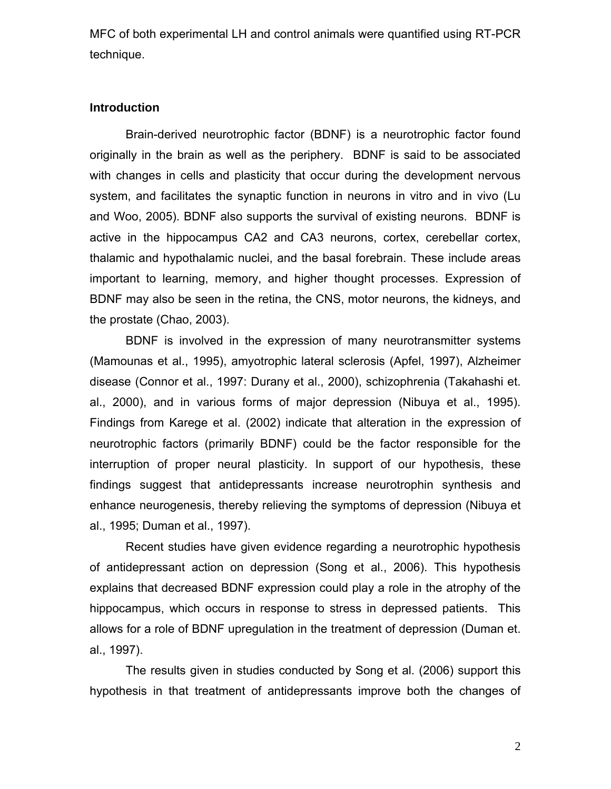MFC of both experimental LH and control animals were quantified using RT-PCR technique.

#### **Introduction**

Brain-derived neurotrophic factor (BDNF) is a neurotrophic factor found originally in the brain as well as the periphery. BDNF is said to be associated with changes in cells and plasticity that occur during the development nervous system, and facilitates the synaptic function in neurons in vitro and in vivo (Lu and Woo, 2005). BDNF also supports the survival of existing neurons. BDNF is active in the hippocampus CA2 and CA3 neurons, cortex, cerebellar cortex, thalamic and hypothalamic nuclei, and the basal forebrain. These include areas important to learning, memory, and higher thought processes. Expression of BDNF may also be seen in the retina, the CNS, motor neurons, the kidneys, and the prostate (Chao, 2003).

BDNF is involved in the expression of many neurotransmitter systems (Mamounas et al., 1995), amyotrophic lateral sclerosis (Apfel, 1997), Alzheimer disease (Connor et al., 1997: Durany et al., 2000), schizophrenia (Takahashi et. al., 2000), and in various forms of major depression (Nibuya et al., 1995). Findings from Karege et al. (2002) indicate that alteration in the expression of neurotrophic factors (primarily BDNF) could be the factor responsible for the interruption of proper neural plasticity. In support of our hypothesis, these findings suggest that antidepressants increase neurotrophin synthesis and enhance neurogenesis, thereby relieving the symptoms of depression (Nibuya et al., 1995; Duman et al., 1997).

Recent studies have given evidence regarding a neurotrophic hypothesis of antidepressant action on depression (Song et al., 2006). This hypothesis explains that decreased BDNF expression could play a role in the atrophy of the hippocampus, which occurs in response to stress in depressed patients. This allows for a role of BDNF upregulation in the treatment of depression (Duman et. al., 1997).

The results given in studies conducted by Song et al. (2006) support this hypothesis in that treatment of antidepressants improve both the changes of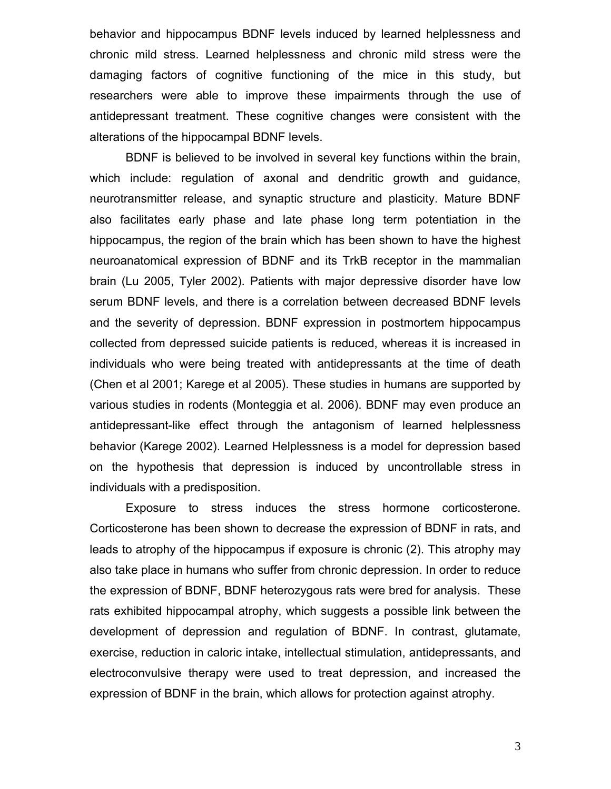behavior and hippocampus BDNF levels induced by learned helplessness and chronic mild stress. Learned helplessness and chronic mild stress were the damaging factors of cognitive functioning of the mice in this study, but researchers were able to improve these impairments through the use of antidepressant treatment. These cognitive changes were consistent with the alterations of the hippocampal BDNF levels.

BDNF is believed to be involved in several key functions within the brain, which include: regulation of axonal and dendritic growth and guidance, neurotransmitter release, and synaptic structure and plasticity. Mature BDNF also facilitates early phase and late phase long term potentiation in the hippocampus, the region of the brain which has been shown to have the highest neuroanatomical expression of BDNF and its TrkB receptor in the mammalian brain (Lu 2005, Tyler 2002). Patients with major depressive disorder have low serum BDNF levels, and there is a correlation between decreased BDNF levels and the severity of depression. BDNF expression in postmortem hippocampus collected from depressed suicide patients is reduced, whereas it is increased in individuals who were being treated with antidepressants at the time of death (Chen et al 2001; Karege et al 2005). These studies in humans are supported by various studies in rodents (Monteggia et al. 2006). BDNF may even produce an antidepressant-like effect through the antagonism of learned helplessness behavior (Karege 2002). Learned Helplessness is a model for depression based on the hypothesis that depression is induced by uncontrollable stress in individuals with a predisposition.

Exposure to stress induces the stress hormone corticosterone. Corticosterone has been shown to decrease the expression of BDNF in rats, and leads to atrophy of the hippocampus if exposure is chronic (2). This atrophy may also take place in humans who suffer from chronic depression. In order to reduce the expression of BDNF, BDNF heterozygous rats were bred for analysis. These rats exhibited hippocampal atrophy, which suggests a possible link between the development of depression and regulation of BDNF. In contrast, glutamate, exercise, reduction in caloric intake, intellectual stimulation, antidepressants, and electroconvulsive therapy were used to treat depression, and increased the expression of BDNF in the brain, which allows for protection against atrophy.

3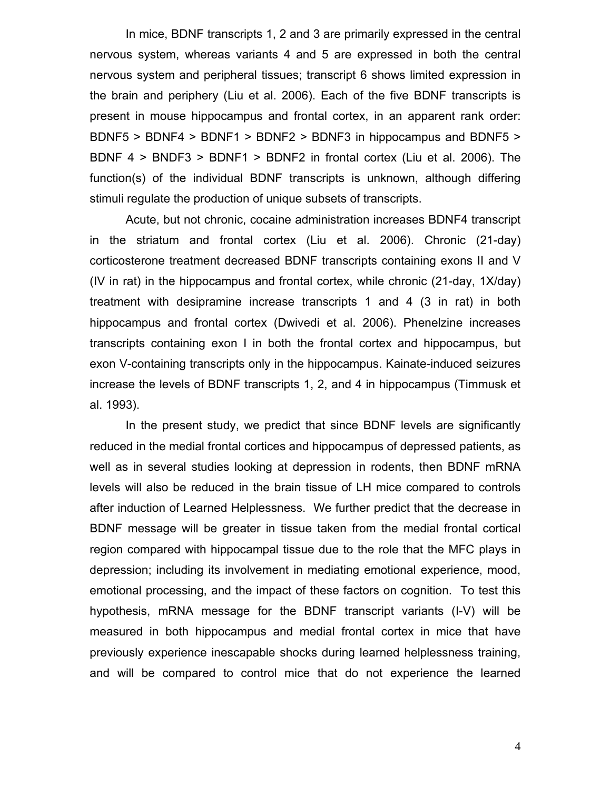In mice, BDNF transcripts 1, 2 and 3 are primarily expressed in the central nervous system, whereas variants 4 and 5 are expressed in both the central nervous system and peripheral tissues; transcript 6 shows limited expression in the brain and periphery (Liu et al. 2006). Each of the five BDNF transcripts is present in mouse hippocampus and frontal cortex, in an apparent rank order: BDNF5 > BDNF4 > BDNF1 > BDNF2 > BDNF3 in hippocampus and BDNF5 > BDNF 4 > BNDF3 > BDNF1 > BDNF2 in frontal cortex (Liu et al. 2006). The function(s) of the individual BDNF transcripts is unknown, although differing stimuli regulate the production of unique subsets of transcripts.

Acute, but not chronic, cocaine administration increases BDNF4 transcript in the striatum and frontal cortex (Liu et al. 2006). Chronic (21-day) corticosterone treatment decreased BDNF transcripts containing exons II and V (IV in rat) in the hippocampus and frontal cortex, while chronic (21-day, 1X/day) treatment with desipramine increase transcripts 1 and 4 (3 in rat) in both hippocampus and frontal cortex (Dwivedi et al. 2006). Phenelzine increases transcripts containing exon I in both the frontal cortex and hippocampus, but exon V-containing transcripts only in the hippocampus. Kainate-induced seizures increase the levels of BDNF transcripts 1, 2, and 4 in hippocampus (Timmusk et al. 1993).

In the present study, we predict that since BDNF levels are significantly reduced in the medial frontal cortices and hippocampus of depressed patients, as well as in several studies looking at depression in rodents, then BDNF mRNA levels will also be reduced in the brain tissue of LH mice compared to controls after induction of Learned Helplessness. We further predict that the decrease in BDNF message will be greater in tissue taken from the medial frontal cortical region compared with hippocampal tissue due to the role that the MFC plays in depression; including its involvement in mediating emotional experience, mood, emotional processing, and the impact of these factors on cognition. To test this hypothesis, mRNA message for the BDNF transcript variants (I-V) will be measured in both hippocampus and medial frontal cortex in mice that have previously experience inescapable shocks during learned helplessness training, and will be compared to control mice that do not experience the learned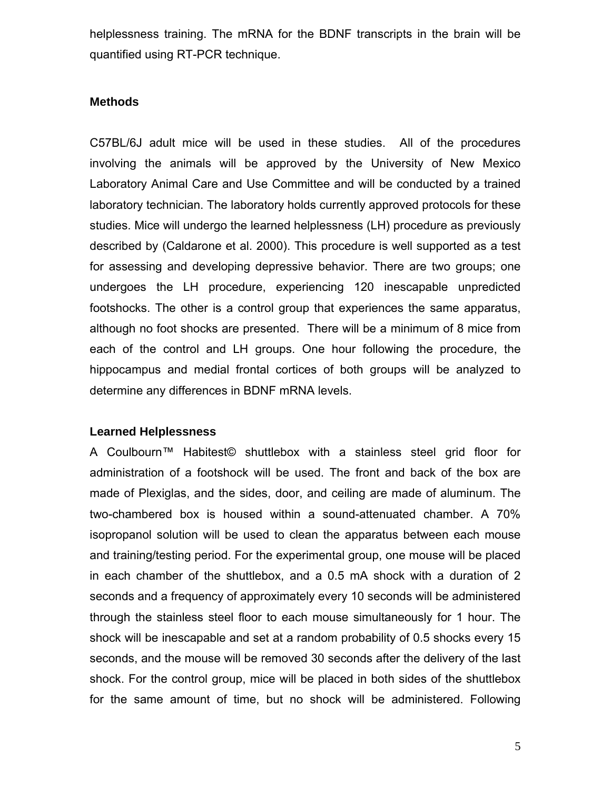helplessness training. The mRNA for the BDNF transcripts in the brain will be quantified using RT-PCR technique.

## **Methods**

C57BL/6J adult mice will be used in these studies. All of the procedures involving the animals will be approved by the University of New Mexico Laboratory Animal Care and Use Committee and will be conducted by a trained laboratory technician. The laboratory holds currently approved protocols for these studies. Mice will undergo the learned helplessness (LH) procedure as previously described by (Caldarone et al. 2000). This procedure is well supported as a test for assessing and developing depressive behavior. There are two groups; one undergoes the LH procedure, experiencing 120 inescapable unpredicted footshocks. The other is a control group that experiences the same apparatus, although no foot shocks are presented. There will be a minimum of 8 mice from each of the control and LH groups. One hour following the procedure, the hippocampus and medial frontal cortices of both groups will be analyzed to determine any differences in BDNF mRNA levels.

## **Learned Helplessness**

A Coulbourn™ Habitest© shuttlebox with a stainless steel grid floor for administration of a footshock will be used. The front and back of the box are made of Plexiglas, and the sides, door, and ceiling are made of aluminum. The two-chambered box is housed within a sound-attenuated chamber. A 70% isopropanol solution will be used to clean the apparatus between each mouse and training/testing period. For the experimental group, one mouse will be placed in each chamber of the shuttlebox, and a 0.5 mA shock with a duration of 2 seconds and a frequency of approximately every 10 seconds will be administered through the stainless steel floor to each mouse simultaneously for 1 hour. The shock will be inescapable and set at a random probability of 0.5 shocks every 15 seconds, and the mouse will be removed 30 seconds after the delivery of the last shock. For the control group, mice will be placed in both sides of the shuttlebox for the same amount of time, but no shock will be administered. Following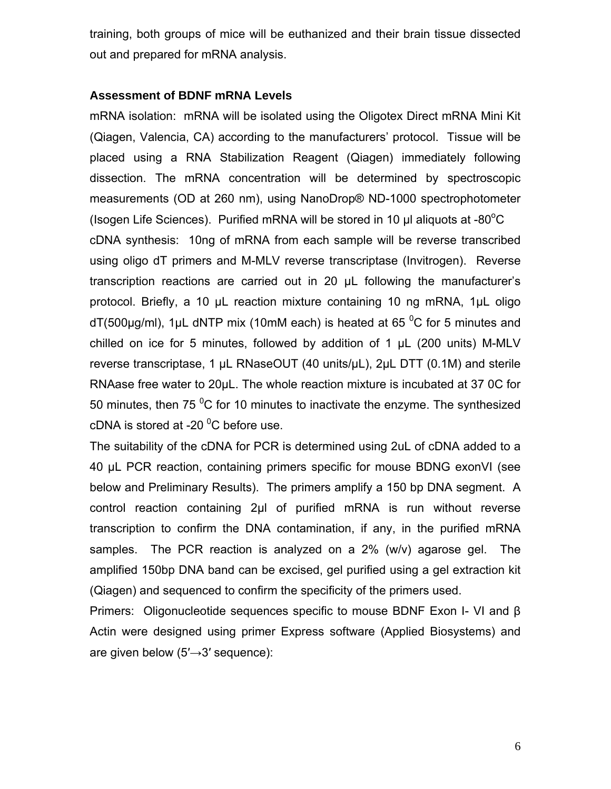training, both groups of mice will be euthanized and their brain tissue dissected out and prepared for mRNA analysis.

### **Assessment of BDNF mRNA Levels**

mRNA isolation: mRNA will be isolated using the Oligotex Direct mRNA Mini Kit (Qiagen, Valencia, CA) according to the manufacturers' protocol. Tissue will be placed using a RNA Stabilization Reagent (Qiagen) immediately following dissection. The mRNA concentration will be determined by spectroscopic measurements (OD at 260 nm), using NanoDrop® ND-1000 spectrophotometer (Isogen Life Sciences). Purified mRNA will be stored in 10  $\mu$ l aliquots at -80 $^{\circ}$ C cDNA synthesis: 10ng of mRNA from each sample will be reverse transcribed using oligo dT primers and M-MLV reverse transcriptase (Invitrogen). Reverse transcription reactions are carried out in 20 µL following the manufacturer's protocol. Briefly, a 10 µL reaction mixture containing 10 ng mRNA, 1µL oligo dT(500µg/ml), 1µL dNTP mix (10mM each) is heated at 65  $\mathrm{^0C}$  for 5 minutes and chilled on ice for 5 minutes, followed by addition of 1 µL (200 units) M-MLV reverse transcriptase, 1 µL RNaseOUT (40 units/µL), 2µL DTT (0.1M) and sterile RNAase free water to 20µL. The whole reaction mixture is incubated at 37 0C for 50 minutes, then 75  $\mathrm{^0C}$  for 10 minutes to inactivate the enzyme. The synthesized cDNA is stored at -20  $\mathrm{^{0}C}$  before use.

The suitability of the cDNA for PCR is determined using 2uL of cDNA added to a 40 µL PCR reaction, containing primers specific for mouse BDNG exonVI (see below and Preliminary Results). The primers amplify a 150 bp DNA segment. A control reaction containing 2µl of purified mRNA is run without reverse transcription to confirm the DNA contamination, if any, in the purified mRNA samples. The PCR reaction is analyzed on a 2% (w/v) agarose gel. The amplified 150bp DNA band can be excised, gel purified using a gel extraction kit (Qiagen) and sequenced to confirm the specificity of the primers used.

Primers: Oligonucleotide sequences specific to mouse BDNF Exon I- VI and β Actin were designed using primer Express software (Applied Biosystems) and are given below (5′→3′ sequence):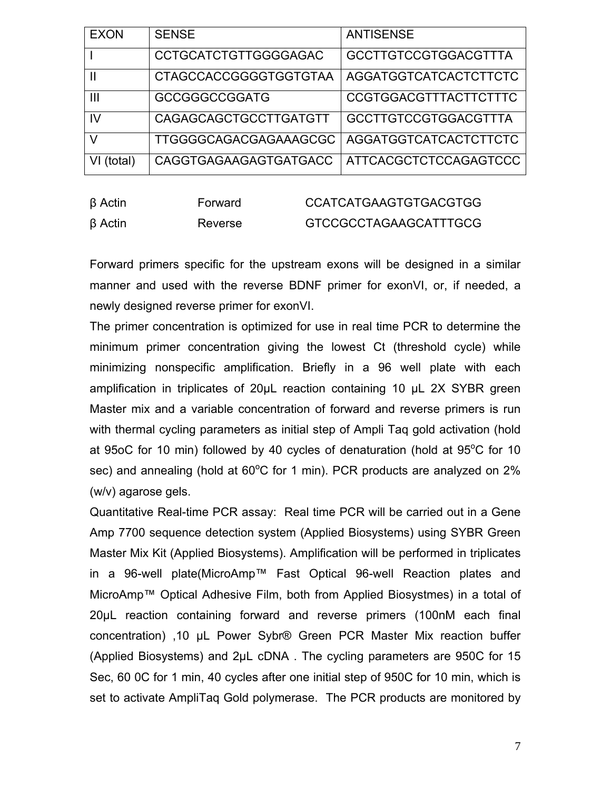| <b>EXON</b> | <b>SENSE</b>                 | <b>ANTISENSE</b>             |
|-------------|------------------------------|------------------------------|
|             | <b>CCTGCATCTGTTGGGGAGAC</b>  | <b>GCCTTGTCCGTGGACGTTTA</b>  |
|             | <b>CTAGCCACCGGGGTGGTGTAA</b> | AGGATGGTCATCACTCTTCTC        |
| Ш           | <b>GCCGGGCCGGATG</b>         | CCGTGGACGTTTACTTCTTTC        |
| IV          | CAGAGCAGCTGCCTTGATGTT        | <b>GCCTTGTCCGTGGACGTTTA</b>  |
|             | TTGGGGCAGACGAGAAAGCGC        | <b>AGGATGGTCATCACTCTTCTC</b> |
| (total)     | CAGGTGAGAAGAGTGATGACC        | ATTCACGCTCTCCAGAGTCCC        |

| $\beta$ Actin | Forward | <b>CCATCATGAAGTGTGACGTGG</b> |
|---------------|---------|------------------------------|
| $\beta$ Actin | Reverse | GTCCGCCTAGAAGCATTTGCG        |

Forward primers specific for the upstream exons will be designed in a similar manner and used with the reverse BDNF primer for exonVI, or, if needed, a newly designed reverse primer for exonVI.

The primer concentration is optimized for use in real time PCR to determine the minimum primer concentration giving the lowest Ct (threshold cycle) while minimizing nonspecific amplification. Briefly in a 96 well plate with each amplification in triplicates of 20µL reaction containing 10 µL 2X SYBR green Master mix and a variable concentration of forward and reverse primers is run with thermal cycling parameters as initial step of Ampli Taq gold activation (hold at 95oC for 10 min) followed by 40 cycles of denaturation (hold at  $95^{\circ}$ C for 10 sec) and annealing (hold at  $60^{\circ}$ C for 1 min). PCR products are analyzed on 2% (w/v) agarose gels.

Quantitative Real-time PCR assay: Real time PCR will be carried out in a Gene Amp 7700 sequence detection system (Applied Biosystems) using SYBR Green Master Mix Kit (Applied Biosystems). Amplification will be performed in triplicates in a 96-well plate(MicroAmp™ Fast Optical 96-well Reaction plates and MicroAmp™ Optical Adhesive Film, both from Applied Biosystmes) in a total of 20µL reaction containing forward and reverse primers (100nM each final concentration) ,10 µL Power Sybr® Green PCR Master Mix reaction buffer (Applied Biosystems) and 2µL cDNA . The cycling parameters are 950C for 15 Sec, 60 0C for 1 min, 40 cycles after one initial step of 950C for 10 min, which is set to activate AmpliTaq Gold polymerase. The PCR products are monitored by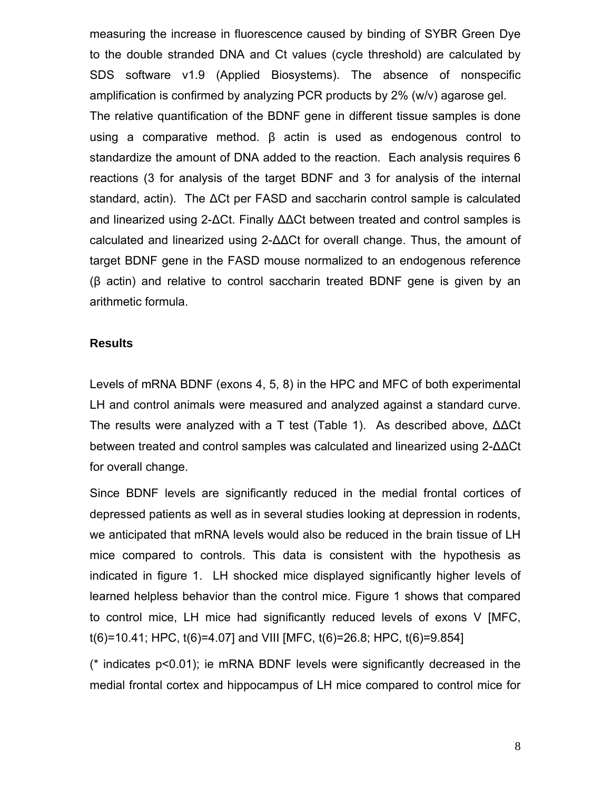measuring the increase in fluorescence caused by binding of SYBR Green Dye to the double stranded DNA and Ct values (cycle threshold) are calculated by SDS software v1.9 (Applied Biosystems). The absence of nonspecific amplification is confirmed by analyzing PCR products by 2% (w/v) agarose gel. The relative quantification of the BDNF gene in different tissue samples is done using a comparative method. β actin is used as endogenous control to standardize the amount of DNA added to the reaction. Each analysis requires 6 reactions (3 for analysis of the target BDNF and 3 for analysis of the internal standard, actin). The ∆Ct per FASD and saccharin control sample is calculated and linearized using 2-∆Ct. Finally ∆∆Ct between treated and control samples is calculated and linearized using 2-∆∆Ct for overall change. Thus, the amount of target BDNF gene in the FASD mouse normalized to an endogenous reference (β actin) and relative to control saccharin treated BDNF gene is given by an arithmetic formula.

#### **Results**

Levels of mRNA BDNF (exons 4, 5, 8) in the HPC and MFC of both experimental LH and control animals were measured and analyzed against a standard curve. The results were analyzed with a T test (Table 1). As described above, ∆∆Ct between treated and control samples was calculated and linearized using 2-∆∆Ct for overall change.

Since BDNF levels are significantly reduced in the medial frontal cortices of depressed patients as well as in several studies looking at depression in rodents, we anticipated that mRNA levels would also be reduced in the brain tissue of LH mice compared to controls. This data is consistent with the hypothesis as indicated in figure 1. LH shocked mice displayed significantly higher levels of learned helpless behavior than the control mice. Figure 1 shows that compared to control mice, LH mice had significantly reduced levels of exons V [MFC, t(6)=10.41; HPC, t(6)=4.07] and VIII [MFC, t(6)=26.8; HPC, t(6)=9.854]

(\* indicates p<0.01); ie mRNA BDNF levels were significantly decreased in the medial frontal cortex and hippocampus of LH mice compared to control mice for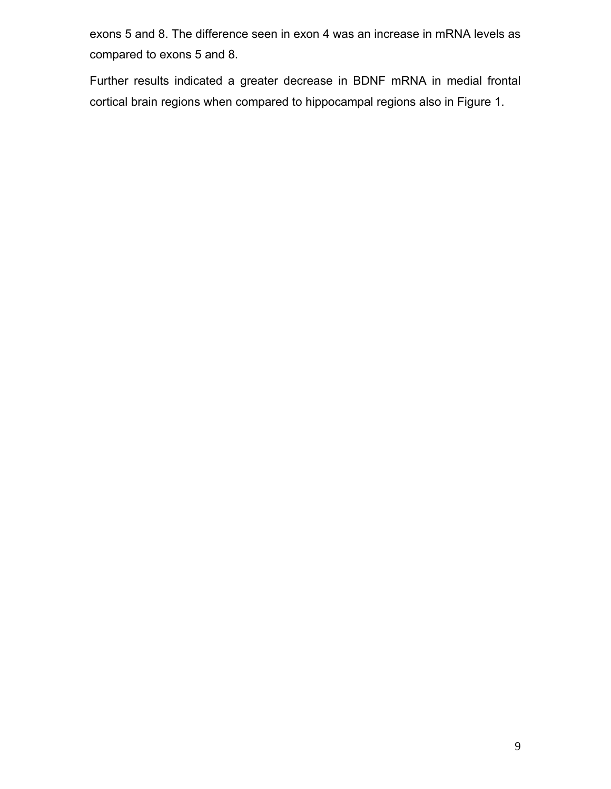exons 5 and 8. The difference seen in exon 4 was an increase in mRNA levels as compared to exons 5 and 8.

Further results indicated a greater decrease in BDNF mRNA in medial frontal cortical brain regions when compared to hippocampal regions also in Figure 1.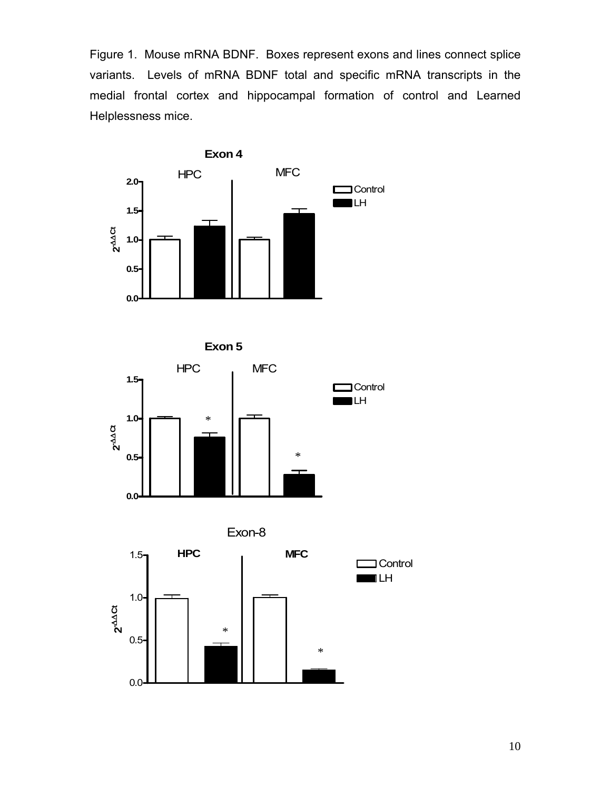Figure 1. Mouse mRNA BDNF. Boxes represent exons and lines connect splice variants. Levels of mRNA BDNF total and specific mRNA transcripts in the medial frontal cortex and hippocampal formation of control and Learned Helplessness mice.









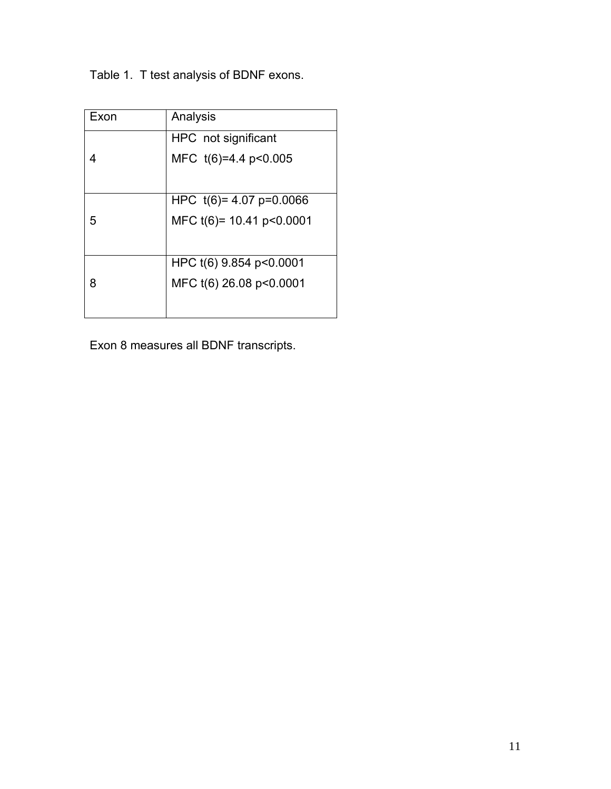Table 1. T test analysis of BDNF exons.

| Exon | Analysis                  |
|------|---------------------------|
|      | HPC not significant       |
|      | MFC t(6)=4.4 p<0.005      |
|      |                           |
|      | HPC $t(6)= 4.07 p=0.0066$ |
| 5    | MFC t(6)= 10.41 p<0.0001  |
|      |                           |
|      | HPC t(6) 9.854 p<0.0001   |
| 8    | MFC t(6) 26.08 p<0.0001   |
|      |                           |
|      |                           |

Exon 8 measures all BDNF transcripts.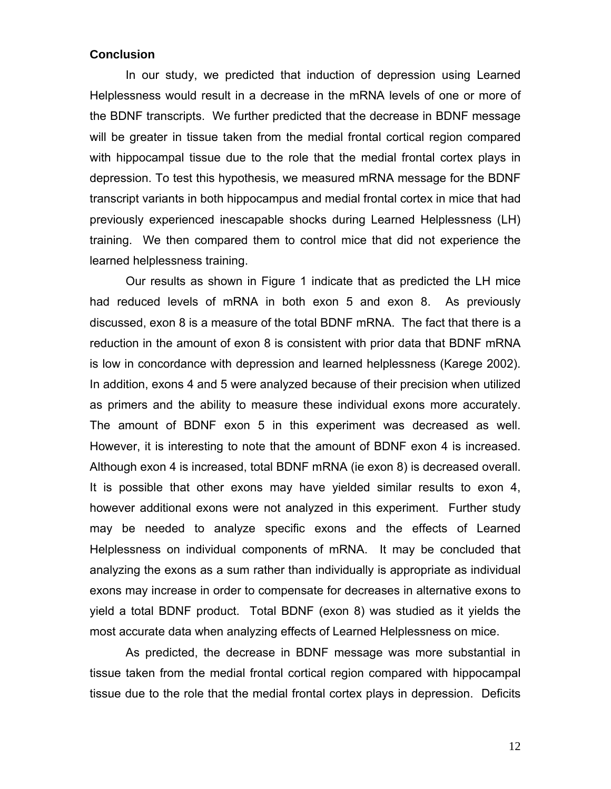#### **Conclusion**

In our study, we predicted that induction of depression using Learned Helplessness would result in a decrease in the mRNA levels of one or more of the BDNF transcripts. We further predicted that the decrease in BDNF message will be greater in tissue taken from the medial frontal cortical region compared with hippocampal tissue due to the role that the medial frontal cortex plays in depression. To test this hypothesis, we measured mRNA message for the BDNF transcript variants in both hippocampus and medial frontal cortex in mice that had previously experienced inescapable shocks during Learned Helplessness (LH) training. We then compared them to control mice that did not experience the learned helplessness training.

Our results as shown in Figure 1 indicate that as predicted the LH mice had reduced levels of mRNA in both exon 5 and exon 8. As previously discussed, exon 8 is a measure of the total BDNF mRNA. The fact that there is a reduction in the amount of exon 8 is consistent with prior data that BDNF mRNA is low in concordance with depression and learned helplessness (Karege 2002). In addition, exons 4 and 5 were analyzed because of their precision when utilized as primers and the ability to measure these individual exons more accurately. The amount of BDNF exon 5 in this experiment was decreased as well. However, it is interesting to note that the amount of BDNF exon 4 is increased. Although exon 4 is increased, total BDNF mRNA (ie exon 8) is decreased overall. It is possible that other exons may have yielded similar results to exon 4, however additional exons were not analyzed in this experiment. Further study may be needed to analyze specific exons and the effects of Learned Helplessness on individual components of mRNA. It may be concluded that analyzing the exons as a sum rather than individually is appropriate as individual exons may increase in order to compensate for decreases in alternative exons to yield a total BDNF product. Total BDNF (exon 8) was studied as it yields the most accurate data when analyzing effects of Learned Helplessness on mice.

As predicted, the decrease in BDNF message was more substantial in tissue taken from the medial frontal cortical region compared with hippocampal tissue due to the role that the medial frontal cortex plays in depression. Deficits

12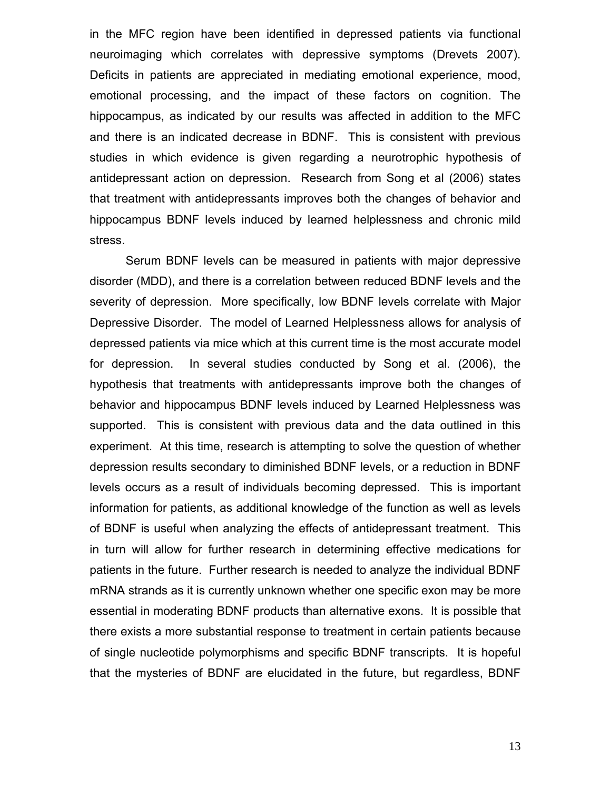in the MFC region have been identified in depressed patients via functional neuroimaging which correlates with depressive symptoms (Drevets 2007). Deficits in patients are appreciated in mediating emotional experience, mood, emotional processing, and the impact of these factors on cognition. The hippocampus, as indicated by our results was affected in addition to the MFC and there is an indicated decrease in BDNF. This is consistent with previous studies in which evidence is given regarding a neurotrophic hypothesis of antidepressant action on depression. Research from Song et al (2006) states that treatment with antidepressants improves both the changes of behavior and hippocampus BDNF levels induced by learned helplessness and chronic mild stress.

 Serum BDNF levels can be measured in patients with major depressive disorder (MDD), and there is a correlation between reduced BDNF levels and the severity of depression. More specifically, low BDNF levels correlate with Major Depressive Disorder. The model of Learned Helplessness allows for analysis of depressed patients via mice which at this current time is the most accurate model for depression. In several studies conducted by Song et al. (2006), the hypothesis that treatments with antidepressants improve both the changes of behavior and hippocampus BDNF levels induced by Learned Helplessness was supported. This is consistent with previous data and the data outlined in this experiment.At this time, research is attempting to solve the question of whether depression results secondary to diminished BDNF levels, or a reduction in BDNF levels occurs as a result of individuals becoming depressed. This is important information for patients, as additional knowledge of the function as well as levels of BDNF is useful when analyzing the effects of antidepressant treatment. This in turn will allow for further research in determining effective medications for patients in the future. Further research is needed to analyze the individual BDNF mRNA strands as it is currently unknown whether one specific exon may be more essential in moderating BDNF products than alternative exons. It is possible that there exists a more substantial response to treatment in certain patients because of single nucleotide polymorphisms and specific BDNF transcripts. It is hopeful that the mysteries of BDNF are elucidated in the future, but regardless, BDNF

13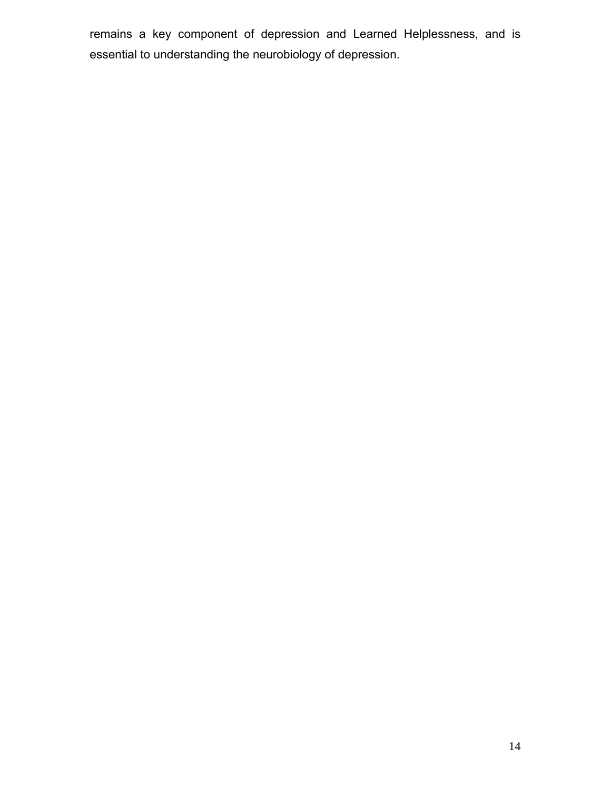remains a key component of depression and Learned Helplessness, and is essential to understanding the neurobiology of depression.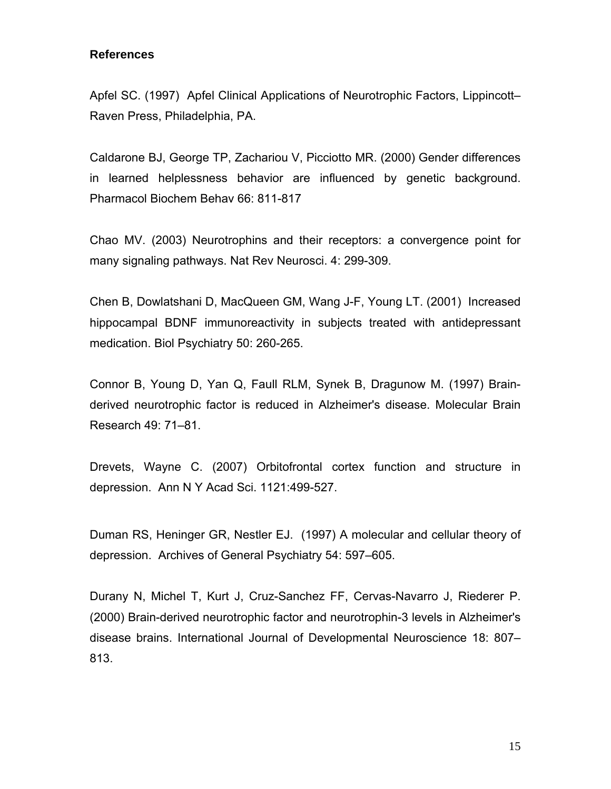#### **References**

Apfel SC. (1997) Apfel Clinical Applications of Neurotrophic Factors, Lippincott– Raven Press, Philadelphia, PA.

Caldarone BJ, George TP, Zachariou V, Picciotto MR. (2000) Gender differences in learned helplessness behavior are influenced by genetic background. Pharmacol Biochem Behav 66: 811-817

Chao MV. (2003) Neurotrophins and their receptors: a convergence point for many signaling pathways. Nat Rev Neurosci. 4: 299-309.

Chen B, Dowlatshani D, MacQueen GM, Wang J-F, Young LT. (2001) Increased hippocampal BDNF immunoreactivity in subjects treated with antidepressant medication. Biol Psychiatry 50: 260-265.

Connor B, Young D, Yan Q, Faull RLM, Synek B, Dragunow M. (1997) Brainderived neurotrophic factor is reduced in Alzheimer's disease. Molecular Brain Research 49: 71–81.

Drevets, Wayne C. (2007) Orbitofrontal cortex function and structure in depression. Ann N Y Acad Sci. 1121:499-527.

Duman RS, Heninger GR, Nestler EJ. (1997) A molecular and cellular theory of depression. Archives of General Psychiatry 54: 597–605.

Durany N, Michel T, Kurt J, Cruz-Sanchez FF, Cervas-Navarro J, Riederer P. (2000) Brain-derived neurotrophic factor and neurotrophin-3 levels in Alzheimer's disease brains. International Journal of Developmental Neuroscience 18: 807– 813.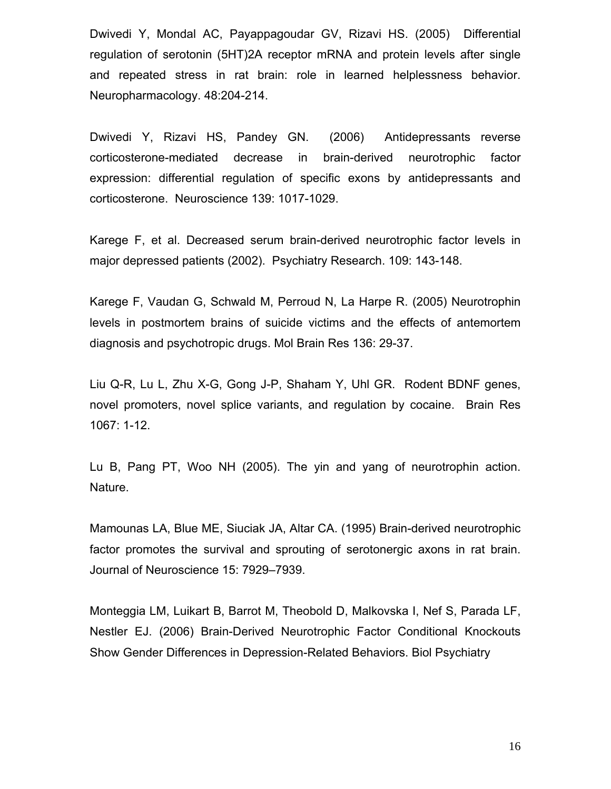Dwivedi Y, Mondal AC, Payappagoudar GV, Rizavi HS. (2005) Differential regulation of serotonin (5HT)2A receptor mRNA and protein levels after single and repeated stress in rat brain: role in learned helplessness behavior. Neuropharmacology. 48:204-214.

Dwivedi Y, Rizavi HS, Pandey GN. (2006) Antidepressants reverse corticosterone-mediated decrease in brain-derived neurotrophic factor expression: differential regulation of specific exons by antidepressants and corticosterone. Neuroscience 139: 1017-1029.

Karege F, et al. Decreased serum brain-derived neurotrophic factor levels in major depressed patients (2002). Psychiatry Research. 109: 143-148.

Karege F, Vaudan G, Schwald M, Perroud N, La Harpe R. (2005) Neurotrophin levels in postmortem brains of suicide victims and the effects of antemortem diagnosis and psychotropic drugs. Mol Brain Res 136: 29-37.

Liu Q-R, Lu L, Zhu X-G, Gong J-P, Shaham Y, Uhl GR. Rodent BDNF genes, novel promoters, novel splice variants, and regulation by cocaine. Brain Res 1067: 1-12.

Lu B, Pang PT, Woo NH (2005). The yin and yang of neurotrophin action. Nature.

Mamounas LA, Blue ME, Siuciak JA, Altar CA. (1995) Brain-derived neurotrophic factor promotes the survival and sprouting of serotonergic axons in rat brain. Journal of Neuroscience 15: 7929–7939.

Monteggia LM, Luikart B, Barrot M, Theobold D, Malkovska I, Nef S, Parada LF, Nestler EJ. (2006) Brain-Derived Neurotrophic Factor Conditional Knockouts Show Gender Differences in Depression-Related Behaviors. Biol Psychiatry